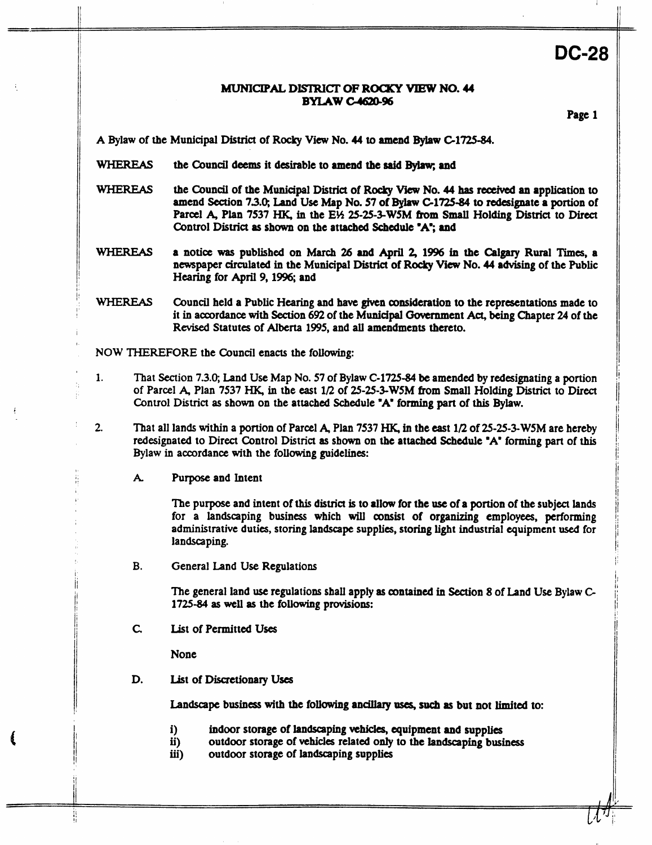# **DC-28**

### *MUNICIPAL* **DIsIRiCI' OF ROCXY** VIEW **NO.** *U*  **BYLAW C-4620-96**

Page **1** 

**A** Bylaw of the Municipal District of **Rocky View No. 44 to** amend **Bylaw C1725-84.** 

- WHEREAS the Council deems it desirable to amend the said Bylaw; and
- WHEREAS the Council of the Municipal **District** of **Rocky** View **No. 44 has** received **an** application **to**  amend **Section 73.0;** Land **Use** Map **No. 57 of Bylaw C1725-84 to** redesignate a **portion** of Parcel **A, Plan 7537 HK,** in the **E% 25-25-3-WSM from Small** Holding District to **Direct**  Control **District as shown on** the attached Schedule **'A";** and
- WHEREAS **a** notice **was** published **on March 26 and April 2,1996** in **the Cblgary** Rural **Times,** a newspaper circulated in the Municipal **District** of Rocky **View No. 44** advising of the Public Hearing for **April 9,1996;** and
- WHEREAS Council held a Public **Hearing and have given** consideration to the representations made to it in accordance **with Section** *692* of the **Municipal** Government *Act,* being Chapter 24 of the **Revised** Statutes of **Alberta 1995,** and **all** amendments thereto.
- **NOW THEREFORE** the Council enacts the following:
- **1.** That Section **7.3.0; Land Use** Map **No. 57** of Bylaw **C-1725-84 be** amended by redesignating a **portion**  of Parcel **A,** Plan **7537 MK,** in **the** east **1/2** of **25-25-3-WSM from** Small Holding **District** to Direct Control **District as** shown **on** the attached Scbedule **"A"** forming **part** of **this Bylaw.**
- **2.** That all lands within a **portion** of Parcel **4** Plan **7537** €€IC, in the cast **1/2** of **25-25-3-WSM** are hereby redesignated to Direct Control District **as shown on** the attached Schedule **"A"** forming **part** of **this**  Bylaw in accordance with the **following** guidelines:
	- *k*  Purpose and Intent

The purpose and intent of this district is to allow for the use of a portion of the subject lands for a landscaping **business** which **will mnsist** of organizing employees, **performing**  administrative duties, **storing landscape** supplies, storing light industrial quipment **used** for landscaping.

**B.**  General Land **Use** Regulations

> The general land use regulations shall apply **as contained** in Section **8** of Land **Use** Bylaw **G 1725-84 as well as** the **following** provisions:

*c*  List of Permitted **Uses** 

None

푞

**D.**  List **of** Discretionary **Uses** 

Landscape business with the following ancillary uses, such as but not limited to:

- **i)**  indoor storage of **landscaping** vehicles, equipment and supplies
- **ii)**  outdoor storage of **vehicles** related *only* to the landscaping business
- **iii)**  outdoor storage of landscaping supplies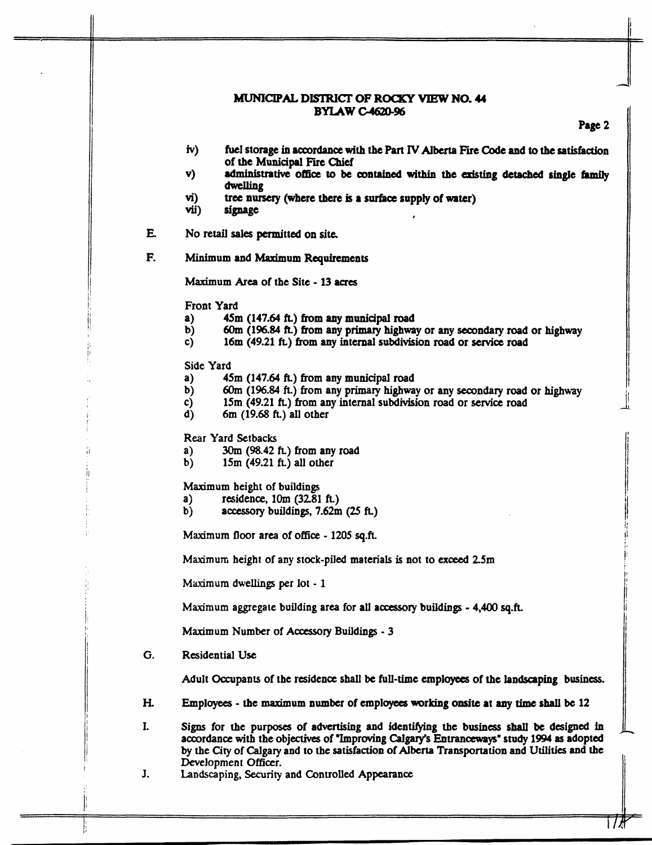#### MUNICIPAL **DIsIRIcrlr OF ROCXY VIEW NO. 44 BYIAWc4620-96**

## **Page 2**

- *iv)*  **fuel storage in accordance with** the **Part IV Alberta Fie Code and to the satisfaction of** the **Municipal Fire Chief**
- **v)**  administrative **office to be** contained **within the existing detached single hmny dwelling**
- vi)<br>vii) **tree nursery (where there is a surface supply of water)**
- $signage$
- **E No** retail **sales** permitted on site
- **E** Minimum and Maximum **Requirements**

**Maximum** *Area* of the **Site** - **13** *aues* 

Front Yard

- **a)**  45m (147.64 **ft.) from** *any* **municipal road**
- b) 6Om **(196.84 ft.) born** *any* primary **highway** or **any seoondary road** or highway
- **c) 16m** (49.21 **k) from any** internal **subdivision road** or **service road**

Side Yard

- **a) 45m** (147.64 **k) from any municipal** road
- b) 6Om (196.84 **k) from** any primary **highway** or **any** secondary road or **highway**
- **c)**  15m (49.21 ft.) from any internal subdivision road or service road
- d) **6m** (19.68 **k)** all other

**Rear Yard Setbacks** 

- **a)**  *3Om* **(98.42 k) from any road**
- **b) 15m (49.21** *ft)* **all other**

**Maximum height of buildings**<br>**a**) residence, 10m (32.81)

- **a)** residence, 1Om **(3281 k)**
- **b) accessory buildings, 7.62m** *(25* **f~)**

**Maximum floor area** of **office** - 1205 **sq.fi.** 

**Maximum** height **of** any stock-piled **materials** is not to **exceed 25m** 

**Maximum dwellings per lot** - **1** 

**Maximum aggregate** building **area** for all **accessory** buildings - **4,400** sq.k

**Maximum** Number of **Accessory** Buildings - 3

*G.* **Residential Use** 

Adult Occupants of **the** residence **shall be full-time** employees **of the landscaping business.** 

**H.** Employees - **the** maximum **number** of emplayas **working onsite at** *any time* **shall be 12** 

**I. Signs** for **the** purposes of **advertising** and **iden-g** the **business shall be** designed **in**  accordance with **the objectives** of **"Improving Calgary's** Enuanccw~ys' *study* **1994 as** adopted by **the** City of Calgary **and to the** satisfaction of **Alberta Transportation** and **Utilities** and the Development **Officer.** 

**J. Landscaping, Security and COntroUed Appearance**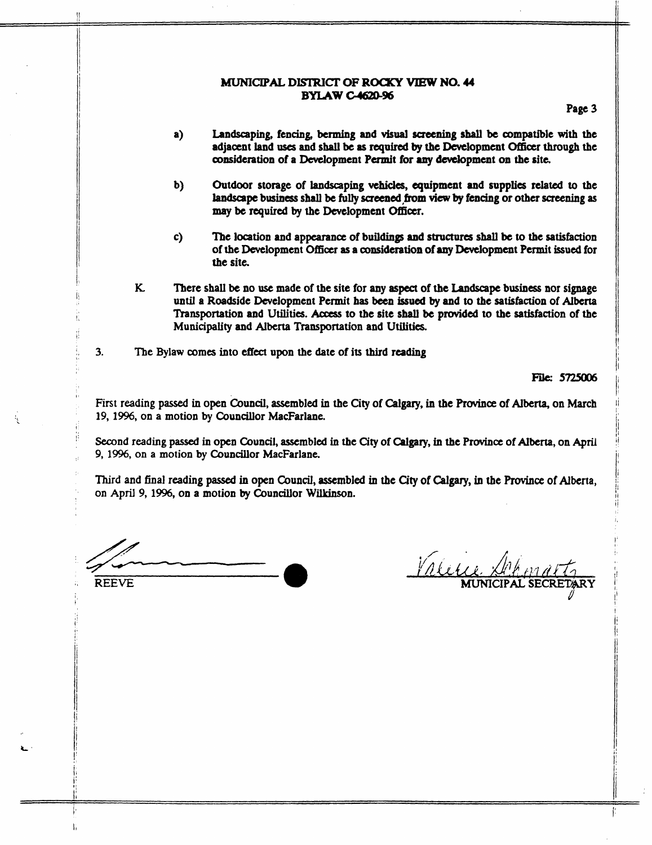# MUNICIPAL **DISI'RICI' OF ROUCY VIEW NO.** *U*  **BYLAW C-4620-96**

**Page 3** 

- **a) Landscaping, fencing, benning and visual screening shall be compatible with the adjacent land uses and shall be as required by the Development o&ioer through the consideration of a Development Pennit for** *my* **development on the site.**
- **b) Outdoor storage of landscaping vehicles, equipment and supplies related to the landscape business shall be fully screened from view by fencing or other screening as** *may* **be required by tbe Development Officer.**
- **c) The location and appearance of buildings and structures shall be to the satisfaction of the Development Officer as a amsideration of** *any* **Development Permit issued for the site.**
- **K. There shall be no** *use* **made of the site for my aspect of the Landscape business nor signage until a Roadside Development Permit has been issued by and to the satisfaction of Alberta Transportation and Utilities.** Aocess **to the site shall be provided to the satisfaction of tbe Municipality and Alberta Transportation and Utilities.**

**3. The Bylaw comes into effect upon the date of its third reading** 

**File: 5725006** 

First **reading passed in open Council, assembled in the City of Calgary, in the** Pruvince **of Alberta, on March 19,** 1996, **on a motion by Councillor MacFarlane.** 

**Second reading passed in open Council, assembled** *in* **the City of** Calgary, *in* **the Province of Alberta, on** *April*  **9,** 1996, **on a motion by Councillor MacFarlane.** 

**Third and final reading passed in open Council, assembled in the City of** *Calgary,* **in tbe** Province **of Alberta, on April 9, 1996, on a motion by Councillor Wilkinson.** 

**REEVE** 

**I**  1: !' !' !

t:

Valetie